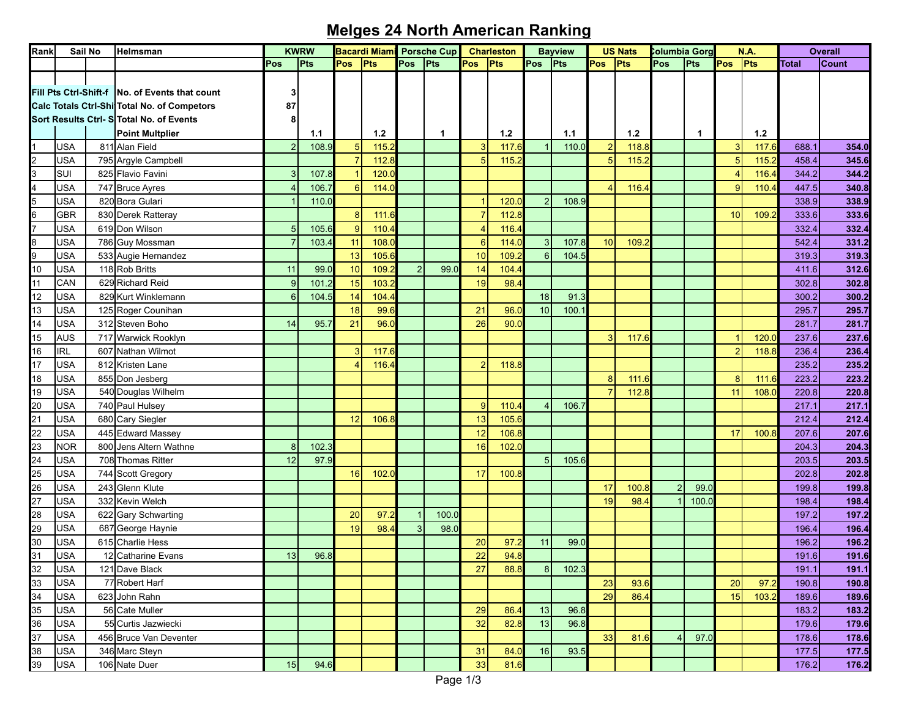## **Melges 24 North American Ranking**

| Rank                                                                                |            | Sail No | Helmsman                                         | <b>KWRW</b>    |       | <b>Bacardi Miami</b> |       | <b>Porsche Cup</b> |       | <b>Charleston</b> |       |     | <b>Bayview</b>     |                | <b>US Nats</b>     |                | Columbia Gorg |                | N.A.  |              | <b>Overall</b> |  |
|-------------------------------------------------------------------------------------|------------|---------|--------------------------------------------------|----------------|-------|----------------------|-------|--------------------|-------|-------------------|-------|-----|--------------------|----------------|--------------------|----------------|---------------|----------------|-------|--------------|----------------|--|
|                                                                                     |            |         |                                                  | Pos            | Pts   | <b>Pos</b>           | Pts   | Pos                | Pts   | <b>Pos</b>        | Pts   | Pos | $ P$ <sup>ts</sup> | Pos            | $ P$ <sup>ts</sup> | Pos            | Pts           | Pos            | Pts   | <b>Total</b> | Count          |  |
|                                                                                     |            |         |                                                  |                |       |                      |       |                    |       |                   |       |     |                    |                |                    |                |               |                |       |              |                |  |
|                                                                                     |            |         | Fill Pts Ctrl-Shift-f   No. of Events that count |                |       |                      |       |                    |       |                   |       |     |                    |                |                    |                |               |                |       |              |                |  |
|                                                                                     |            |         | Calc Totals Ctrl-Shi Total No. of Competors      | 87             |       |                      |       |                    |       |                   |       |     |                    |                |                    |                |               |                |       |              |                |  |
|                                                                                     |            |         | Sort Results Ctrl- S Total No. of Events         |                |       |                      |       |                    |       |                   |       |     |                    |                |                    |                |               |                |       |              |                |  |
|                                                                                     |            |         | <b>Point Multplier</b>                           |                | 1.1   |                      | $1.2$ |                    | 1     |                   | $1.2$ |     | 1.1                |                | $1.2$              |                | $\mathbf 1$   |                | 1.2   |              |                |  |
|                                                                                     | USA        |         | 811 Alan Field                                   | $\mathcal{P}$  | 108.9 |                      | 115.2 |                    |       | 3                 | 117.6 |     | 110.0              | $\overline{2}$ | 118.8              |                |               |                | 117.6 | 688.1        | 354.0          |  |
|                                                                                     | USA        |         | 795 Argyle Campbell                              |                |       |                      | 112.8 |                    |       |                   | 115.  |     |                    | 5              | 115.2              |                |               |                | 115.2 | 458.4        | 345.6          |  |
| $\frac{1}{2}$ $\frac{2}{3}$ $\frac{4}{4}$ $\frac{5}{5}$ $\frac{6}{7}$               | SUI        |         | 825 Flavio Favini                                |                | 107.8 |                      | 120.0 |                    |       |                   |       |     |                    |                |                    |                |               |                | 116.4 | 344.2        | 344.2          |  |
|                                                                                     | USA        |         | 747 Bruce Ayres                                  |                | 106.7 | 6                    | 114.0 |                    |       |                   |       |     |                    | $\overline{A}$ | 116.4              |                |               | $\mathbf{Q}$   | 110.4 | 447.5        | 340.8          |  |
|                                                                                     | USA        |         | 820 Bora Gulari                                  |                | 110.0 |                      |       |                    |       |                   | 120.0 |     | 108.9              |                |                    |                |               |                |       | 338.9        | 338.9          |  |
|                                                                                     | GBR        |         | 830 Derek Ratteray                               |                |       | 8 <sup>1</sup>       | 111.6 |                    |       |                   | 112.8 |     |                    |                |                    |                |               | 10             | 109.2 | 333.6        | 333.6          |  |
|                                                                                     | USA        |         |                                                  | 5 <sub>5</sub> | 105.6 | 9                    | 110.4 |                    |       |                   |       |     |                    |                |                    |                |               |                |       |              |                |  |
|                                                                                     | USA        |         | 619 Don Wilson                                   |                |       | 11                   |       |                    |       | 6                 | 116.4 |     | 107.8              |                |                    |                |               |                |       | 332.4        | 332.4          |  |
| $\begin{array}{c c}\n8 \\ 9 \\ 10\n\end{array}$                                     |            |         | 786 Guy Mossman                                  |                | 103.4 |                      | 108.0 |                    |       |                   | 114.0 |     |                    | 10             | 109.2              |                |               |                |       | 542.4        | 331.2          |  |
|                                                                                     | USA        |         | 533 Augie Hernandez                              |                |       | 13                   | 105.6 |                    |       | 10                | 109.  |     | 104.5              |                |                    |                |               |                |       | 319.3        | 319.3          |  |
| $\overline{11}$                                                                     | USA        |         | 118 Rob Britts                                   | 11             | 99.0  | 10                   | 109.2 | $\overline{2}$     | 99.0  | 14                | 104.  |     |                    |                |                    |                |               |                |       | 411.6        | 312.6          |  |
|                                                                                     | CAN        |         | 629 Richard Reid                                 | 9              | 101.2 | 15                   | 103.2 |                    |       | 19                | 98.4  |     |                    |                |                    |                |               |                |       | 302.8        | 302.8          |  |
| 12                                                                                  | USA        |         | 829 Kurt Winklemann                              | 6              | 104.5 | 14                   | 104.4 |                    |       |                   |       | 18  | 91.3               |                |                    |                |               |                |       | 300.2        | 300.2          |  |
| 13                                                                                  | USA        |         | 125 Roger Counihan                               |                |       | 18                   | 99.6  |                    |       | 21                | 96.0  | 10  | 100.1              |                |                    |                |               |                |       | 295.7        | 295.7          |  |
| 14                                                                                  | USA        |         | 312 Steven Boho                                  | 14             | 95.7  | 21                   | 96.0  |                    |       | 26                | 90.0  |     |                    |                |                    |                |               |                |       | 281.7        | 281.7          |  |
| 15                                                                                  | <b>AUS</b> |         | 717 Warwick Rooklyn                              |                |       |                      |       |                    |       |                   |       |     |                    | 3              | 117.6              |                |               |                | 120.0 | 237.6        | 237.6          |  |
| 16                                                                                  | <b>IRL</b> |         | 607 Nathan Wilmot                                |                |       |                      | 117.6 |                    |       |                   |       |     |                    |                |                    |                |               | $\overline{2}$ | 118.8 | 236.4        | 236.4          |  |
| 17                                                                                  | USA        |         | 812 Kristen Lane                                 |                |       |                      | 116.4 |                    |       | $\overline{2}$    | 118.8 |     |                    |                |                    |                |               |                |       | 235.2        | 235.2          |  |
| 18                                                                                  | USA        |         | 855 Don Jesberg                                  |                |       |                      |       |                    |       |                   |       |     |                    | 8              | 111.6              |                |               | 8              | 111.6 | 223.2        | 223.2          |  |
| 19                                                                                  | <b>JSA</b> |         | 540 Douglas Wilhelm                              |                |       |                      |       |                    |       |                   |       |     |                    | $\overline{7}$ | 112.8              |                |               | 11             | 108.0 | 220.8        | 220.8          |  |
|                                                                                     | USA        |         | 740 Paul Hulsey                                  |                |       |                      |       |                    |       | 9                 | 110.4 |     | 106.7              |                |                    |                |               |                |       | 217.1        | 217.1          |  |
|                                                                                     | <b>JSA</b> |         | 680 Cary Siegler                                 |                |       | 12                   | 106.8 |                    |       | 13                | 105.6 |     |                    |                |                    |                |               |                |       | 212.4        | 212.4          |  |
|                                                                                     | USA        |         | 445 Edward Massey                                |                |       |                      |       |                    |       | 12                | 106.8 |     |                    |                |                    |                |               | 17             | 100.8 | 207.6        | 207.6          |  |
|                                                                                     | NOR        |         | 800 Jens Altern Wathne                           | 8 <sup>1</sup> | 102.3 |                      |       |                    |       | 16                | 102.0 |     |                    |                |                    |                |               |                |       | 204.3        | 204.3          |  |
|                                                                                     | USA        |         | 708 Thomas Ritter                                | 12             | 97.9  |                      |       |                    |       |                   |       |     | 105.6              |                |                    |                |               |                |       | 203.5        | 203.5          |  |
|                                                                                     | USA        |         | 744 Scott Gregory                                |                |       | 16                   | 102.0 |                    |       | 17                | 100.8 |     |                    |                |                    |                |               |                |       | 202.8        | 202.8          |  |
|                                                                                     | USA        |         | 243 Glenn Klute                                  |                |       |                      |       |                    |       |                   |       |     |                    | 17             | 100.8              | $\overline{2}$ | 99.0          |                |       | 199.8        | 199.8          |  |
|                                                                                     | USA        |         | 332 Kevin Welch                                  |                |       |                      |       |                    |       |                   |       |     |                    | 19             | 98.4               |                | 100.0         |                |       | 198.4        | 198.4          |  |
|                                                                                     | USA        |         | 622 Gary Schwarting                              |                |       | 20                   | 97.2  |                    | 100.0 |                   |       |     |                    |                |                    |                |               |                |       | 197.2        | 197.2          |  |
|                                                                                     | USA        |         | 687 George Haynie                                |                |       | 19                   | 98.4  | 3                  | 98.0  |                   |       |     |                    |                |                    |                |               |                |       | 196.4        | 196.4          |  |
|                                                                                     | USA        |         | 615 Charlie Hess                                 |                |       |                      |       |                    |       | 20                | 97.   | 11  | 99.0               |                |                    |                |               |                |       | 196.2        | 196.2          |  |
| 20 21 22 23 24 25 26 27 28 29 30 31                                                 | USA        |         | 12 Catharine Evans                               | 13             | 96.8  |                      |       |                    |       | 22                | 94.8  |     |                    |                |                    |                |               |                |       | 191.6        | 191.6          |  |
|                                                                                     | USA        |         | 121 Dave Black                                   |                |       |                      |       |                    |       | 27                | 88.8  | 8   | 102.3              |                |                    |                |               |                |       | 191.1        | 191.1          |  |
| $\frac{32}{33} \frac{33}{34} \frac{4}{35} \frac{36}{38} \frac{7}{38} \frac{36}{39}$ | USA        |         | 77 Robert Harf                                   |                |       |                      |       |                    |       |                   |       |     |                    | 23             | 93.6               |                |               | 20             | 97.2  | 190.8        | 190.8          |  |
|                                                                                     | USA        |         | 623 John Rahn                                    |                |       |                      |       |                    |       |                   |       |     |                    | 29             | 86.4               |                |               | 15             | 103.2 | 189.6        | 189.6          |  |
|                                                                                     | <b>USA</b> |         | 56 Cate Muller                                   |                |       |                      |       |                    |       | 29                | 86.4  | 13  | 96.8               |                |                    |                |               |                |       | 183.2        | 183.2          |  |
|                                                                                     | <b>USA</b> |         | 55 Curtis Jazwiecki                              |                |       |                      |       |                    |       | 32                | 82.8  | 13  | 96.8               |                |                    |                |               |                |       | 179.6        | 179.6          |  |
|                                                                                     | <b>USA</b> |         | 456 Bruce Van Deventer                           |                |       |                      |       |                    |       |                   |       |     |                    | 33             | 81.6               | $\overline{4}$ | 97.0          |                |       | 178.6        | 178.6          |  |
|                                                                                     | <b>USA</b> |         | 346 Marc Steyn                                   |                |       |                      |       |                    |       | 31                | 84.0  | 16  | 93.5               |                |                    |                |               |                |       | 177.5        | 177.5          |  |
|                                                                                     | <b>USA</b> |         | 106 Nate Duer                                    | 15             | 94.6  |                      |       |                    |       | 33                | 81.6  |     |                    |                |                    |                |               |                |       | 176.2        | 176.2          |  |
|                                                                                     |            |         |                                                  |                |       |                      |       |                    |       |                   |       |     |                    |                |                    |                |               |                |       |              |                |  |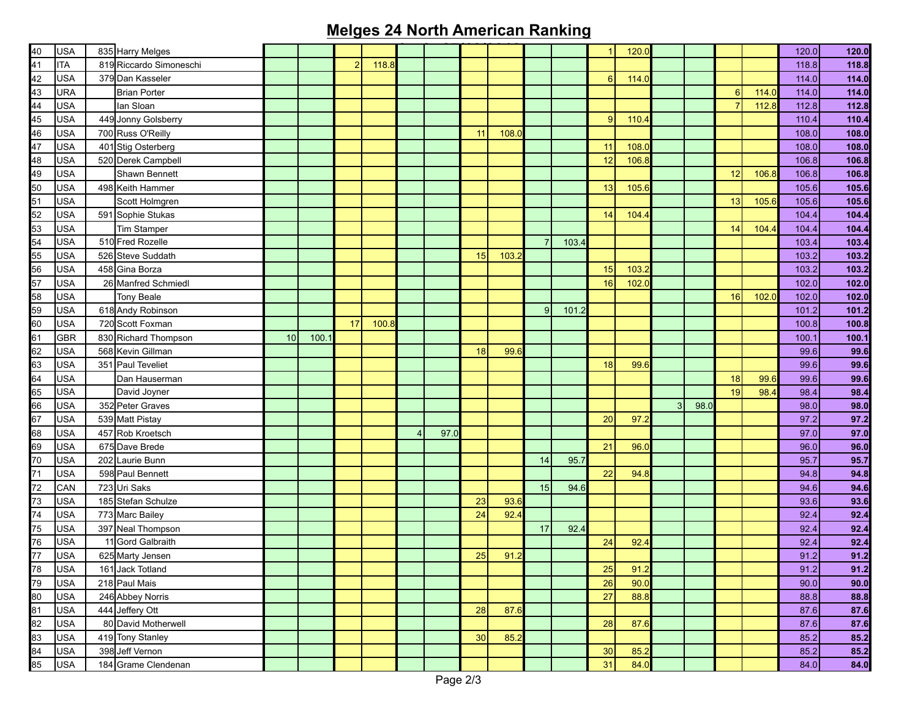## **Melges 24 North American Ranking**

| 40 | USA        | 835 Harry Melges        |                 |       |    |       |                |      |    |       |                |       | 1  | 120.0 |   |      |    |       | 120.0 | 120.0 |
|----|------------|-------------------------|-----------------|-------|----|-------|----------------|------|----|-------|----------------|-------|----|-------|---|------|----|-------|-------|-------|
| 41 | <b>ITA</b> | 819 Riccardo Simoneschi |                 |       |    | 118.8 |                |      |    |       |                |       |    |       |   |      |    |       | 118.8 | 118.8 |
| 42 | <b>USA</b> | 379 Dan Kasseler        |                 |       |    |       |                |      |    |       |                |       | 6  | 114.0 |   |      |    |       | 114.0 | 114.0 |
| 43 | URA        | <b>Brian Porter</b>     |                 |       |    |       |                |      |    |       |                |       |    |       |   |      | 6  | 114.0 | 114.0 | 114.0 |
| 44 | <b>USA</b> | lan Sloan               |                 |       |    |       |                |      |    |       |                |       |    |       |   |      |    | 112.8 | 112.8 | 112.8 |
| 45 | <b>USA</b> | 449 Jonny Golsberry     |                 |       |    |       |                |      |    |       |                |       | 9  | 110.4 |   |      |    |       | 110.4 | 110.4 |
| 46 | <b>USA</b> | 700 Russ O'Reilly       |                 |       |    |       |                |      | 11 | 108.  |                |       |    |       |   |      |    |       | 108.0 | 108.0 |
| 47 | <b>USA</b> | 401 Stig Osterberg      |                 |       |    |       |                |      |    |       |                |       | 11 | 108.0 |   |      |    |       | 108.0 | 108.0 |
| 48 | <b>USA</b> | 520 Derek Campbell      |                 |       |    |       |                |      |    |       |                |       | 12 | 106.8 |   |      |    |       | 106.8 | 106.8 |
| 49 | USA        | Shawn Bennett           |                 |       |    |       |                |      |    |       |                |       |    |       |   |      | 12 | 106.8 | 106.8 | 106.8 |
| 50 | <b>USA</b> | 498 Keith Hammer        |                 |       |    |       |                |      |    |       |                |       | 13 | 105.6 |   |      |    |       | 105.6 | 105.6 |
| 51 | <b>USA</b> | Scott Holmgren          |                 |       |    |       |                |      |    |       |                |       |    |       |   |      | 13 | 105.6 | 105.6 | 105.6 |
| 52 | <b>USA</b> | 591 Sophie Stukas       |                 |       |    |       |                |      |    |       |                |       | 14 | 104.4 |   |      |    |       | 104.4 | 104.4 |
| 53 | <b>USA</b> | Tim Stamper             |                 |       |    |       |                |      |    |       |                |       |    |       |   |      | 14 | 104.4 | 104.4 | 104.4 |
| 54 | <b>USA</b> | 510 Fred Rozelle        |                 |       |    |       |                |      |    |       | $\overline{7}$ | 103.4 |    |       |   |      |    |       | 103.4 | 103.4 |
| 55 | <b>USA</b> | 526 Steve Suddath       |                 |       |    |       |                |      | 15 | 103.3 |                |       |    |       |   |      |    |       | 103.2 | 103.2 |
| 56 | <b>USA</b> | 458 Gina Borza          |                 |       |    |       |                |      |    |       |                |       | 15 | 103.2 |   |      |    |       | 103.2 | 103.2 |
| 57 | <b>USA</b> | 26 Manfred Schmiedl     |                 |       |    |       |                |      |    |       |                |       | 16 | 102.0 |   |      |    |       | 102.0 | 102.0 |
| 58 | <b>USA</b> | <b>Tony Beale</b>       |                 |       |    |       |                |      |    |       |                |       |    |       |   |      | 16 | 102.0 | 102.0 | 102.0 |
| 59 | <b>USA</b> | 618 Andy Robinson       |                 |       |    |       |                |      |    |       | $\overline{9}$ | 101.2 |    |       |   |      |    |       | 101.2 | 101.2 |
| 60 | <b>USA</b> | 720 Scott Foxman        |                 |       | 17 | 100.8 |                |      |    |       |                |       |    |       |   |      |    |       | 100.8 | 100.8 |
| 61 | <b>GBR</b> | 830 Richard Thompson    | 10 <sup>1</sup> | 100.1 |    |       |                |      |    |       |                |       |    |       |   |      |    |       | 100.1 | 100.1 |
| 62 | USA        | 568 Kevin Gillman       |                 |       |    |       |                |      | 18 | 99.6  |                |       |    |       |   |      |    |       | 99.6  | 99.6  |
| 63 | <b>USA</b> | 351 Paul Teveliet       |                 |       |    |       |                |      |    |       |                |       | 18 | 99.6  |   |      |    |       | 99.6  | 99.6  |
| 64 | <b>USA</b> | Dan Hauserman           |                 |       |    |       |                |      |    |       |                |       |    |       |   |      | 18 | 99.6  | 99.6  | 99.6  |
| 65 | <b>USA</b> | David Joyner            |                 |       |    |       |                |      |    |       |                |       |    |       |   |      | 19 | 98.4  | 98.4  | 98.4  |
| 66 | <b>USA</b> | 352 Peter Graves        |                 |       |    |       |                |      |    |       |                |       |    |       | 3 | 98.0 |    |       | 98.0  | 98.0  |
| 67 | <b>USA</b> | 539 Matt Pistay         |                 |       |    |       |                |      |    |       |                |       | 20 | 97.2  |   |      |    |       | 97.2  | 97.2  |
| 68 | <b>USA</b> | 457 Rob Kroetsch        |                 |       |    |       | $\overline{4}$ | 97.0 |    |       |                |       |    |       |   |      |    |       | 97.0  | 97.0  |
| 69 | <b>USA</b> | 675 Dave Brede          |                 |       |    |       |                |      |    |       |                |       | 21 | 96.0  |   |      |    |       | 96.0  | 96.0  |
| 70 | <b>USA</b> | 202 Laurie Bunn         |                 |       |    |       |                |      |    |       | 14             | 95.7  |    |       |   |      |    |       | 95.7  | 95.7  |
| 71 | <b>USA</b> | 598 Paul Bennett        |                 |       |    |       |                |      |    |       |                |       | 22 | 94.8  |   |      |    |       | 94.8  | 94.8  |
| 72 | CAN        | 723 Uri Saks            |                 |       |    |       |                |      |    |       | 15             | 94.6  |    |       |   |      |    |       | 94.6  | 94.6  |
| 73 | USA        | 185 Stefan Schulze      |                 |       |    |       |                |      | 23 | 93.6  |                |       |    |       |   |      |    |       | 93.6  | 93.6  |
| 74 | USA        | 773 Marc Bailey         |                 |       |    |       |                |      | 24 | 92.   |                |       |    |       |   |      |    |       | 92.4  | 92.4  |
| 75 | <b>USA</b> | 397 Neal Thompson       |                 |       |    |       |                |      |    |       | 17             | 92.4  |    |       |   |      |    |       | 92.4  | 92.4  |
| 76 | <b>USA</b> | 11 Gord Galbraith       |                 |       |    |       |                |      |    |       |                |       | 24 | 92.4  |   |      |    |       | 92.4  | 92.4  |
| 77 | USA        | 625 Marty Jensen        |                 |       |    |       |                |      | 25 | 91.2  |                |       |    |       |   |      |    |       | 91.2  | 91.2  |
| 78 | USA        | 161 Jack Totland        |                 |       |    |       |                |      |    |       |                |       | 25 | 91.2  |   |      |    |       | 91.2  | 91.2  |
| 79 | USA        | 218 Paul Mais           |                 |       |    |       |                |      |    |       |                |       | 26 | 90.0  |   |      |    |       | 90.0  | 90.0  |
| 80 | USA        | 246 Abbey Norris        |                 |       |    |       |                |      |    |       |                |       | 27 | 88.8  |   |      |    |       | 88.8  | 88.8  |
| 81 | USA        | 444 Jeffery Ott         |                 |       |    |       |                |      | 28 | 87.6  |                |       |    |       |   |      |    |       | 87.6  | 87.6  |
| 82 | USA        | 80 David Motherwell     |                 |       |    |       |                |      |    |       |                |       | 28 | 87.6  |   |      |    |       | 87.6  | 87.6  |
| 83 | <b>USA</b> | 419 Tony Stanley        |                 |       |    |       |                |      | 30 | 85.2  |                |       |    |       |   |      |    |       | 85.2  | 85.2  |
| 84 | USA        | 398 Jeff Vernon         |                 |       |    |       |                |      |    |       |                |       | 30 | 85.2  |   |      |    |       | 85.2  | 85.2  |
| 85 | <b>USA</b> | 184 Grame Clendenan     |                 |       |    |       |                |      |    |       |                |       | 31 | 84.0  |   |      |    |       | 84.0  | 84.0  |